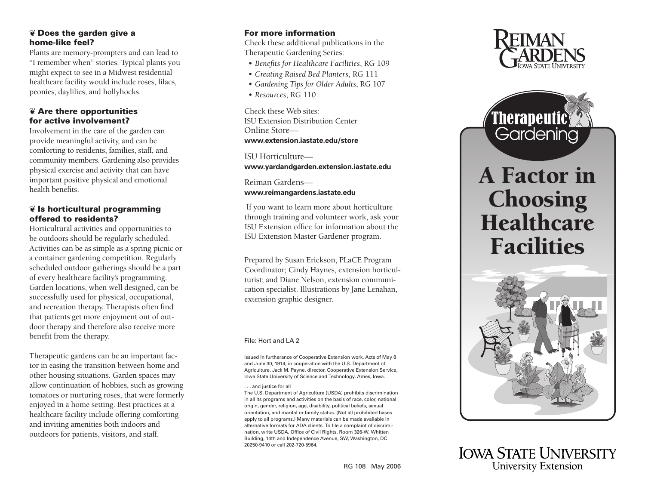## ❦ Does the garden give a home-like feel?

Plants are memory-prompters and can lead to "I remember when" stories. Typical plants you might expect to see in a Midwest residential healthcare facility would include roses, lilacs, peonies, daylilies, and hollyhocks.

# ❦ Are there opportunities for active involvement?

Involvement in the care of the garden can provide meaningful activity, and can be comforting to residents, families, staff, and community members. Gardening also provides physical exercise and activity that can have important positive physical and emotional health benefits.

# ❦ Is horticultural programming offered to residents?

Horticultural activities and opportunities to be outdoors should be regularly scheduled. Activities can be as simple as a spring picnic or a container gardening competition. Regularly scheduled outdoor gatherings should be a part of every healthcare facility's programming. Garden locations, when well designed, can be successfully used for physical, occupational, and recreation therapy. Therapists often find that patients get more enjoyment out of out door therapy and therefore also receive more benefit from the therapy.

Therapeutic gardens can be an important fac tor in easing the transition between home and other housing situations. Garden spaces may allow continuation of hobbies, such as growing tomatoes or nurturing roses, that were formerly enjoyed in a home setting. Best practices at a healthcare facility include offering comforting and inviting amenities both indoors and outdoors for patients, visitors, and staff.

# For more information

Check these additional publications in the Therapeutic Gardening Series:

- *[Benefits for Healthcare Facilities](https://www.extension.iastate.edu/store/ListItems.aspx?Keyword=rg109)*, RG 109
- *[Creating Raised Bed Planters](https://www.extension.iastate.edu/store/ListItems.aspx?Keyword=rg111)*, RG 111
- *[Gardening Tips for Older Adults](https://www.extension.iastate.edu/store/ListItems.aspx?Keyword=rg107)*, RG 107
- *[Resources](https://www.extension.iastate.edu/store/ListItems.aspx?Keyword=rg110)*, RG 110

Check these Web sites: [ISU Extension Distribution Center](http://www.extension.iastate.edu/store)  Online Store **www.extension.iastate.edu/store**

ISU Horticulture **[www.yardandgarden.extension.iastate.edu](http://www.yardandgarden.extension.iastate.edu)**

Reiman Gardens **[www.reimangardens.iastate.edu](http://www.reimangardens.iastate.edu)**

 If you want to learn more about horticulture through training and volunteer work, ask your ISU Extension office for information about the ISU Extension Master Gardener program.

Prepared by Susan Erickson, PLaCE Program Coordinator; Cindy Haynes, extension horticul turist; and Diane Nelson, extension communi cation specialist. Illustrations by Jane Lenahan, extension graphic designer.

#### File: Hort and LA 2

Issued in furtherance of Cooperative Extension work, Acts of May 8 and June 30, 1914, in cooperation with the U.S. Department of Agriculture. Jack M. Payne, director, Cooperative Extension Service, Iowa State University of Science and Technology, Ames, Iowa.

. . . and justice for all

The U.S. Department of Agriculture (USDA) prohibits discrimination in all its programs and activities on the basis of race, color, national origin, gender, religion, age, disability, political beliefs, sexual orientation, and marital or family status. (Not all prohibited bases apply to all programs.) Many materials can be made available in alternative formats for ADA clients. To file a complaint of discrimi nation, write USDA, Office of Civil Rights, Room 326-W, Whitten Building, 14th and Independence Avenue, SW, Washington, DC 20250-9410 or call 202-720-5964.





# A Factor in **Choosing Healthcare** Facilities